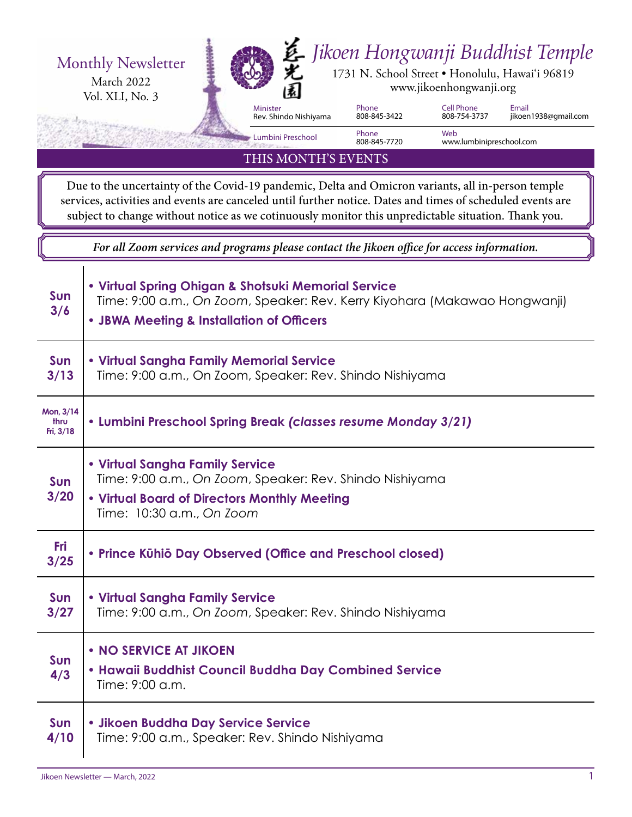

THIS MONTH'S EVENTS

Due to the uncertainty of the Covid-19 pandemic, Delta and Omicron variants, all in-person temple services, activities and events are canceled until further notice. Dates and times of scheduled events are subject to change without notice as we cotinuously monitor this unpredictable situation. Thank you.

*For all Zoom services and programs please contact the Jikoen office for access information.*

| Sun<br>3/6                     | • Virtual Spring Ohigan & Shotsuki Memorial Service<br>Time: 9:00 a.m., On Zoom, Speaker: Rev. Kerry Kiyohara (Makawao Hongwanji)<br>• JBWA Meeting & Installation of Officers |
|--------------------------------|--------------------------------------------------------------------------------------------------------------------------------------------------------------------------------|
| Sun<br>3/13                    | • Virtual Sangha Family Memorial Service<br>Time: 9:00 a.m., On Zoom, Speaker: Rev. Shindo Nishiyama                                                                           |
| Mon, 3/14<br>thru<br>Fri, 3/18 | • Lumbini Preschool Spring Break (classes resume Monday 3/21)                                                                                                                  |
| <b>Sun</b><br>3/20             | • Virtual Sangha Family Service<br>Time: 9:00 a.m., On Zoom, Speaker: Rev. Shindo Nishiyama<br>• Virtual Board of Directors Monthly Meeting<br>Time: 10:30 a.m., On Zoom       |
| Fri<br>3/25                    | • Prince Kühiö Day Observed (Office and Preschool closed)                                                                                                                      |
| Sun<br>3/27                    | • Virtual Sangha Family Service<br>Time: 9:00 a.m., On Zoom, Speaker: Rev. Shindo Nishiyama                                                                                    |
| <b>Sun</b><br>4/3              | • NO SERVICE AT JIKOEN<br>. Hawaii Buddhist Council Buddha Day Combined Service<br>Time: 9:00 a.m.                                                                             |
| <b>Sun</b><br>4/10             | · Jikoen Buddha Day Service Service<br>Time: 9:00 a.m., Speaker: Rev. Shindo Nishiyama                                                                                         |

÷.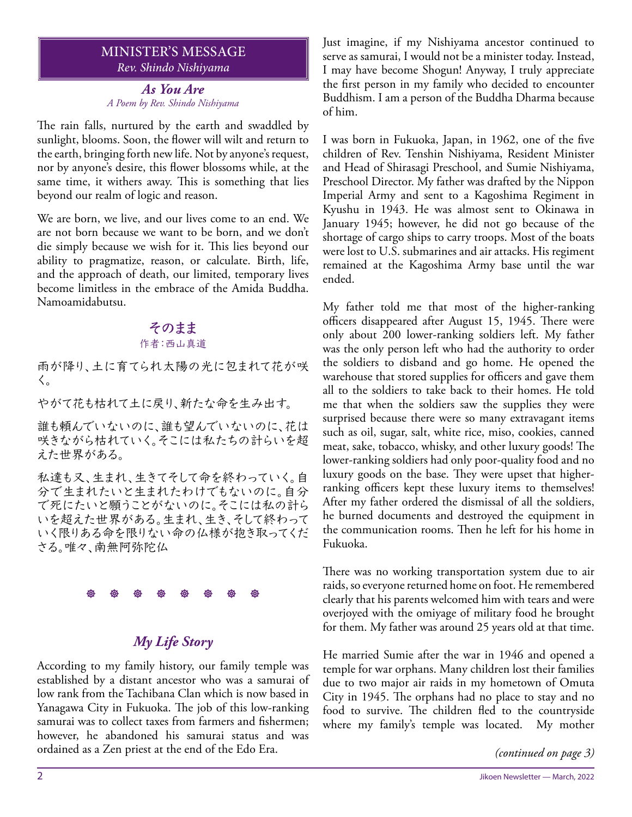# MINISTER'S MESSAGE *Rev. Shindo Nishiyama*

### *As You Are A Poem by Rev. Shindo Nishiyama*

The rain falls, nurtured by the earth and swaddled by sunlight, blooms. Soon, the flower will wilt and return to the earth, bringing forth new life. Not by anyone's request, nor by anyone's desire, this flower blossoms while, at the same time, it withers away. This is something that lies beyond our realm of logic and reason.

We are born, we live, and our lives come to an end. We are not born because we want to be born, and we don't die simply because we wish for it. This lies beyond our ability to pragmatize, reason, or calculate. Birth, life, and the approach of death, our limited, temporary lives become limitless in the embrace of the Amida Buddha. Namoamidabutsu.

# **そのまま** 作者:西山真道

雨が降り、土に育てられ太陽の光に包まれて花が咲 く。

やがて花も枯れて土に戻り、新たな命を生み出す。

誰も頼んでいないのに、誰も望んでいないのに、花は 咲きながら枯れていく。そこには私たちの計らいを超 えた世界がある。

私達も又、生まれ、生きてそして命を終わっていく。自 分で生まれたいと生まれたわけでもないのに。自分 で死にたいと願うことがないのに。そこには私の計ら いを超えた世界がある。生まれ、生き、そして終わって いく限りある命を限りない命の仏様が抱き取ってくだ さる。唯々、南無阿弥陀仏

# 

# *My Life Story*

According to my family history, our family temple was established by a distant ancestor who was a samurai of low rank from the Tachibana Clan which is now based in Yanagawa City in Fukuoka. The job of this low-ranking samurai was to collect taxes from farmers and fishermen; however, he abandoned his samurai status and was ordained as a Zen priest at the end of the Edo Era.

Just imagine, if my Nishiyama ancestor continued to serve as samurai, I would not be a minister today. Instead, I may have become Shogun! Anyway, I truly appreciate the first person in my family who decided to encounter Buddhism. I am a person of the Buddha Dharma because of him.

I was born in Fukuoka, Japan, in 1962, one of the five children of Rev. Tenshin Nishiyama, Resident Minister and Head of Shirasagi Preschool, and Sumie Nishiyama, Preschool Director. My father was drafted by the Nippon Imperial Army and sent to a Kagoshima Regiment in Kyushu in 1943. He was almost sent to Okinawa in January 1945; however, he did not go because of the shortage of cargo ships to carry troops. Most of the boats were lost to U.S. submarines and air attacks. His regiment remained at the Kagoshima Army base until the war ended.

My father told me that most of the higher-ranking officers disappeared after August 15, 1945. There were only about 200 lower-ranking soldiers left. My father was the only person left who had the authority to order the soldiers to disband and go home. He opened the warehouse that stored supplies for officers and gave them all to the soldiers to take back to their homes. He told me that when the soldiers saw the supplies they were surprised because there were so many extravagant items such as oil, sugar, salt, white rice, miso, cookies, canned meat, sake, tobacco, whisky, and other luxury goods! The lower-ranking soldiers had only poor-quality food and no luxury goods on the base. They were upset that higherranking officers kept these luxury items to themselves! After my father ordered the dismissal of all the soldiers, he burned documents and destroyed the equipment in the communication rooms. Then he left for his home in Fukuoka.

There was no working transportation system due to air raids, so everyone returned home on foot. He remembered clearly that his parents welcomed him with tears and were overjoyed with the omiyage of military food he brought for them. My father was around 25 years old at that time.

He married Sumie after the war in 1946 and opened a temple for war orphans. Many children lost their families due to two major air raids in my hometown of Omuta City in 1945. The orphans had no place to stay and no food to survive. The children fled to the countryside where my family's temple was located. My mother

*(continued on page 3)*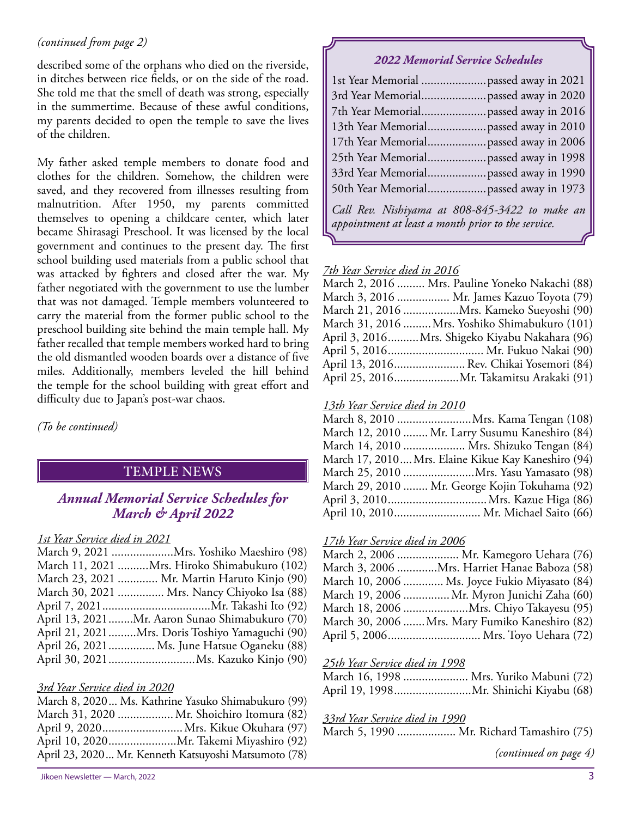# *(continued from page 2)*

described some of the orphans who died on the riverside, in ditches between rice fields, or on the side of the road. She told me that the smell of death was strong, especially in the summertime. Because of these awful conditions, my parents decided to open the temple to save the lives of the children.

My father asked temple members to donate food and clothes for the children. Somehow, the children were saved, and they recovered from illnesses resulting from malnutrition. After 1950, my parents committed themselves to opening a childcare center, which later became Shirasagi Preschool. It was licensed by the local government and continues to the present day. The first school building used materials from a public school that was attacked by fighters and closed after the war. My father negotiated with the government to use the lumber that was not damaged. Temple members volunteered to carry the material from the former public school to the preschool building site behind the main temple hall. My father recalled that temple members worked hard to bring the old dismantled wooden boards over a distance of five miles. Additionally, members leveled the hill behind the temple for the school building with great effort and difficulty due to Japan's post-war chaos.

*(To be continued)*

# TEMPLE NEWS

# *Annual Memorial Service Schedules for March & April 2022*

### *1st Year Service died in 2021*

| March 11, 2021 Mrs. Hiroko Shimabukuro (102)     |
|--------------------------------------------------|
| March 23, 2021  Mr. Martin Haruto Kinjo (90)     |
| March 30, 2021  Mrs. Nancy Chiyoko Isa (88)      |
|                                                  |
| April 13, 2021 Mr. Aaron Sunao Shimabukuro (70)  |
| April 21, 2021 Mrs. Doris Toshiyo Yamaguchi (90) |
| April 26, 2021  Ms. June Hatsue Oganeku (88)     |
|                                                  |

### *3rd Year Service died in 2020*

| March 8, 2020 Ms. Kathrine Yasuko Shimabukuro (99)   |  |
|------------------------------------------------------|--|
| March 31, 2020  Mr. Shoichiro Itomura (82)           |  |
| April 9, 2020 Mrs. Kikue Okuhara (97)                |  |
|                                                      |  |
| April 23, 2020 Mr. Kenneth Katsuyoshi Matsumoto (78) |  |

# *2022 Memorial Service Schedules*

| 1st Year Memorial  passed away in 2021         |
|------------------------------------------------|
| 3rd Year Memorial passed away in 2020          |
| 7th Year Memorial passed away in 2016          |
| 13th Year Memorial passed away in 2010         |
| 17th Year Memorial passed away in 2006         |
| 25th Year Memorial passed away in 1998         |
| 33rd Year Memorial passed away in 1990         |
| 50th Year Memorial passed away in 1973         |
| Call Rev. Nishiyama at 808-845-3422 to make an |
|                                                |

### *7th Year Service died in 2016*

| March 2, 2016  Mrs. Pauline Yoneko Nakachi (88) |
|-------------------------------------------------|
| March 3, 2016  Mr. James Kazuo Toyota (79)      |
| March 21, 2016 Mrs. Kameko Sueyoshi (90)        |
| March 31, 2016 Mrs. Yoshiko Shimabukuro (101)   |
| April 3, 2016Mrs. Shigeko Kiyabu Nakahara (96)  |
| April 5, 2016 Mr. Fukuo Nakai (90)              |
| April 13, 2016 Rev. Chikai Yosemori (84)        |
| April 25, 2016Mr. Takamitsu Arakaki (91)        |

### *13th Year Service died in 2010*

| March 8, 2010 Mrs. Kama Tengan (108)               |
|----------------------------------------------------|
| March 12, 2010  Mr. Larry Susumu Kaneshiro (84)    |
| March 14, 2010  Mrs. Shizuko Tengan (84)           |
| March 17, 2010Mrs. Elaine Kikue Kay Kaneshiro (94) |
| March 25, 2010 Mrs. Yasu Yamasato (98)             |
| March 29, 2010  Mr. George Kojin Tokuhama (92)     |
|                                                    |
| April 10, 2010 Mr. Michael Saito (66)              |

### *17th Year Service died in 2006*

| March 2, 2006  Mr. Kamegoro Uehara (76)        |
|------------------------------------------------|
| March 3, 2006 Mrs. Harriet Hanae Baboza (58)   |
| March 10, 2006  Ms. Joyce Fukio Miyasato (84)  |
| March 19, 2006  Mr. Myron Junichi Zaha (60)    |
| March 18, 2006 Mrs. Chiyo Takayesu (95)        |
| March 30, 2006 Mrs. Mary Fumiko Kaneshiro (82) |
| April 5, 2006 Mrs. Toyo Uehara (72)            |

### *25th Year Service died in 1998*

| March 16, 1998  Mrs. Yuriko Mabuni (72) |  |
|-----------------------------------------|--|
| April 19, 1998Mr. Shinichi Kiyabu (68)  |  |

### *33rd Year Service died in 1990*

| March 5, 1990  Mr. Richard Tamashiro (75) |  |  |  |  |
|-------------------------------------------|--|--|--|--|
|-------------------------------------------|--|--|--|--|

*(continued on page 4)*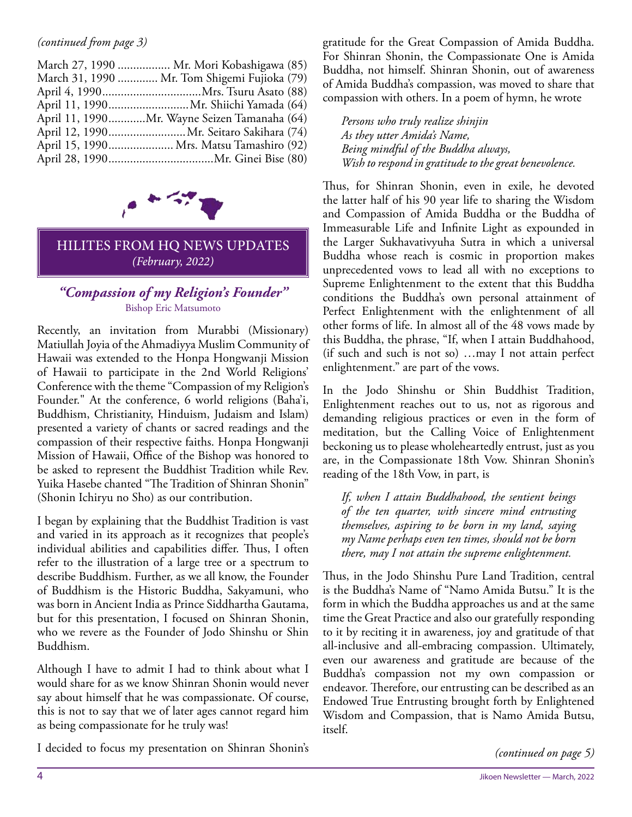# *(continued from page 3)*

| March 27, 1990  Mr. Mori Kobashigawa (85)    |
|----------------------------------------------|
| March 31, 1990  Mr. Tom Shigemi Fujioka (79) |
|                                              |
|                                              |
| April 11, 1990Mr. Wayne Seizen Tamanaha (64) |
| April 12, 1990 Mr. Seitaro Sakihara (74)     |
| April 15, 1990 Mrs. Matsu Tamashiro (92)     |
|                                              |
|                                              |



# HILITES FROM HQ NEWS UPDATES *(February, 2022)*

# *"Compassion of my Religion's Founder"* Bishop Eric Matsumoto

Recently, an invitation from Murabbi (Missionary) Matiullah Joyia of the Ahmadiyya Muslim Community of Hawaii was extended to the Honpa Hongwanji Mission of Hawaii to participate in the 2nd World Religions' Conference with the theme "Compassion of my Religion's Founder." At the conference, 6 world religions (Baha'i, Buddhism, Christianity, Hinduism, Judaism and Islam) presented a variety of chants or sacred readings and the compassion of their respective faiths. Honpa Hongwanji Mission of Hawaii, Office of the Bishop was honored to be asked to represent the Buddhist Tradition while Rev. Yuika Hasebe chanted "The Tradition of Shinran Shonin" (Shonin Ichiryu no Sho) as our contribution.

I began by explaining that the Buddhist Tradition is vast and varied in its approach as it recognizes that people's individual abilities and capabilities differ. Thus, I often refer to the illustration of a large tree or a spectrum to describe Buddhism. Further, as we all know, the Founder of Buddhism is the Historic Buddha, Sakyamuni, who was born in Ancient India as Prince Siddhartha Gautama, but for this presentation, I focused on Shinran Shonin, who we revere as the Founder of Jodo Shinshu or Shin Buddhism.

Although I have to admit I had to think about what I would share for as we know Shinran Shonin would never say about himself that he was compassionate. Of course, this is not to say that we of later ages cannot regard him as being compassionate for he truly was!

I decided to focus my presentation on Shinran Shonin's

gratitude for the Great Compassion of Amida Buddha. For Shinran Shonin, the Compassionate One is Amida Buddha, not himself. Shinran Shonin, out of awareness of Amida Buddha's compassion, was moved to share that compassion with others. In a poem of hymn, he wrote

*Persons who truly realize shinjin As they utter Amida's Name, Being mindful of the Buddha always, Wish to respond in gratitude to the great benevolence.*

Thus, for Shinran Shonin, even in exile, he devoted the latter half of his 90 year life to sharing the Wisdom and Compassion of Amida Buddha or the Buddha of Immeasurable Life and Infinite Light as expounded in the Larger Sukhavativyuha Sutra in which a universal Buddha whose reach is cosmic in proportion makes unprecedented vows to lead all with no exceptions to Supreme Enlightenment to the extent that this Buddha conditions the Buddha's own personal attainment of Perfect Enlightenment with the enlightenment of all other forms of life. In almost all of the 48 vows made by this Buddha, the phrase, "If, when I attain Buddhahood, (if such and such is not so) …may I not attain perfect enlightenment." are part of the vows.

In the Jodo Shinshu or Shin Buddhist Tradition, Enlightenment reaches out to us, not as rigorous and demanding religious practices or even in the form of meditation, but the Calling Voice of Enlightenment beckoning us to please wholeheartedly entrust, just as you are, in the Compassionate 18th Vow. Shinran Shonin's reading of the 18th Vow, in part, is

*If, when I attain Buddhahood, the sentient beings of the ten quarter, with sincere mind entrusting themselves, aspiring to be born in my land, saying my Name perhaps even ten times, should not be born there, may I not attain the supreme enlightenment.* 

Thus, in the Jodo Shinshu Pure Land Tradition, central is the Buddha's Name of "Namo Amida Butsu." It is the form in which the Buddha approaches us and at the same time the Great Practice and also our gratefully responding to it by reciting it in awareness, joy and gratitude of that all-inclusive and all-embracing compassion. Ultimately, even our awareness and gratitude are because of the Buddha's compassion not my own compassion or endeavor. Therefore, our entrusting can be described as an Endowed True Entrusting brought forth by Enlightened Wisdom and Compassion, that is Namo Amida Butsu, itself.

*(continued on page 5)*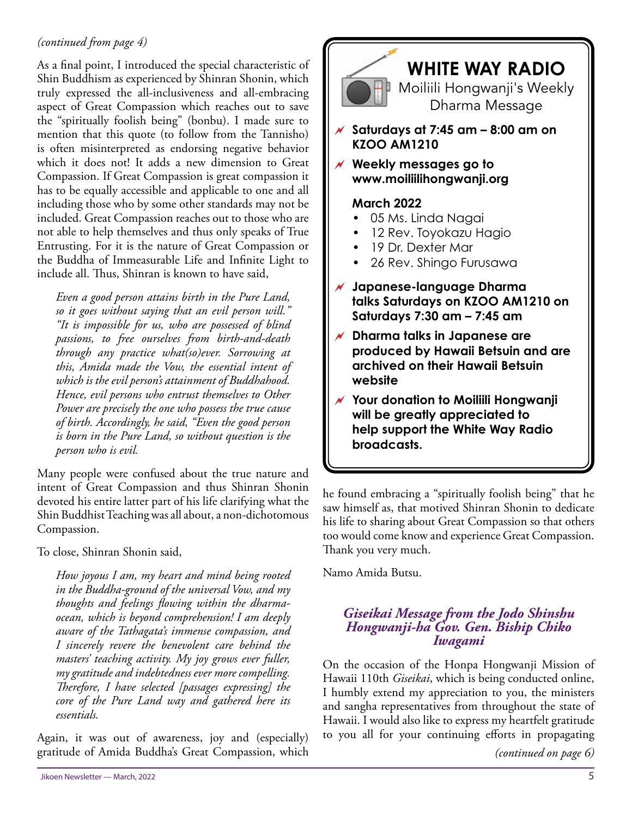# *(continued from page 4)*

As a final point, I introduced the special characteristic of Shin Buddhism as experienced by Shinran Shonin, which truly expressed the all-inclusiveness and all-embracing aspect of Great Compassion which reaches out to save the "spiritually foolish being" (bonbu). I made sure to mention that this quote (to follow from the Tannisho) is often misinterpreted as endorsing negative behavior which it does not! It adds a new dimension to Great Compassion. If Great Compassion is great compassion it has to be equally accessible and applicable to one and all including those who by some other standards may not be included. Great Compassion reaches out to those who are not able to help themselves and thus only speaks of True Entrusting. For it is the nature of Great Compassion or the Buddha of Immeasurable Life and Infinite Light to include all. Thus, Shinran is known to have said,

*Even a good person attains birth in the Pure Land, so it goes without saying that an evil person will." "It is impossible for us, who are possessed of blind passions, to free ourselves from birth-and-death through any practice what(so)ever. Sorrowing at this, Amida made the Vow, the essential intent of which is the evil person's attainment of Buddhahood. Hence, evil persons who entrust themselves to Other Power are precisely the one who possess the true cause of birth. Accordingly, he said, "Even the good person is born in the Pure Land, so without question is the person who is evil.*

Many people were confused about the true nature and intent of Great Compassion and thus Shinran Shonin devoted his entire latter part of his life clarifying what the Shin Buddhist Teaching was all about, a non-dichotomous Compassion.

To close, Shinran Shonin said,

*How joyous I am, my heart and mind being rooted in the Buddha-ground of the universal Vow, and my*  thoughts and feelings flowing within the dharma*ocean, which is beyond comprehension! I am deeply aware of the Tathagata's immense compassion, and I sincerely revere the benevolent care behind the masters' teaching activity. My joy grows ever fuller, my gratitude and indebtedness ever more compelling. Th erefore, I have selected [passages expressing] the core of the Pure Land way and gathered here its essentials.*

Again, it was out of awareness, joy and (especially) gratitude of Amida Buddha's Great Compassion, which



he found embracing a "spiritually foolish being" that he saw himself as, that motived Shinran Shonin to dedicate his life to sharing about Great Compassion so that others too would come know and experience Great Compassion. Thank you very much.

Namo Amida Butsu.

# *Giseikai Message from the Jodo Shinshu Hongwanji-ha Gov. Gen. Biship Chiko Iwagami*

On the occasion of the Honpa Hongwanji Mission of Hawaii 110th *Giseikai*, which is being conducted online, I humbly extend my appreciation to you, the ministers and sangha representatives from throughout the state of Hawaii. I would also like to express my heartfelt gratitude to you all for your continuing efforts in propagating

*(continued on page 6)*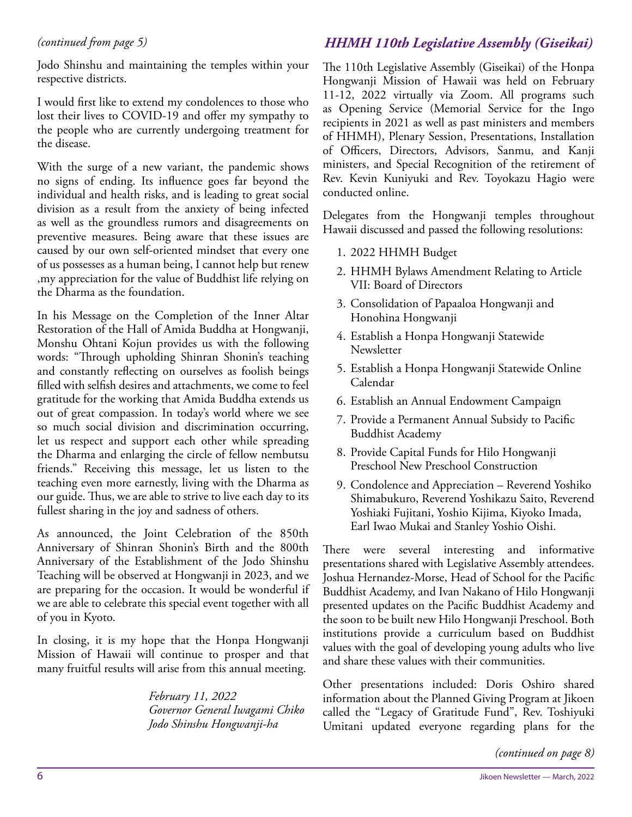# *(continued from page 5)*

Jodo Shinshu and maintaining the temples within your respective districts.

I would first like to extend my condolences to those who lost their lives to COVID-19 and offer my sympathy to the people who are currently undergoing treatment for the disease.

With the surge of a new variant, the pandemic shows no signs of ending. Its influence goes far beyond the individual and health risks, and is leading to great social division as a result from the anxiety of being infected as well as the groundless rumors and disagreements on preventive measures. Being aware that these issues are caused by our own self-oriented mindset that every one of us possesses as a human being, I cannot help but renew ,my appreciation for the value of Buddhist life relying on the Dharma as the foundation.

In his Message on the Completion of the Inner Altar Restoration of the Hall of Amida Buddha at Hongwanji, Monshu Ohtani Kojun provides us with the following words: "Through upholding Shinran Shonin's teaching and constantly reflecting on ourselves as foolish beings filled with selfish desires and attachments, we come to feel gratitude for the working that Amida Buddha extends us out of great compassion. In today's world where we see so much social division and discrimination occurring, let us respect and support each other while spreading the Dharma and enlarging the circle of fellow nembutsu friends." Receiving this message, let us listen to the teaching even more earnestly, living with the Dharma as our guide. Thus, we are able to strive to live each day to its fullest sharing in the joy and sadness of others.

As announced, the Joint Celebration of the 850th Anniversary of Shinran Shonin's Birth and the 800th Anniversary of the Establishment of the Jodo Shinshu Teaching will be observed at Hongwanji in 2023, and we are preparing for the occasion. It would be wonderful if we are able to celebrate this special event together with all of you in Kyoto.

In closing, it is my hope that the Honpa Hongwanji Mission of Hawaii will continue to prosper and that many fruitful results will arise from this annual meeting.

> *February 11, 2022 Governor General Iwagami Chiko Jodo Shinshu Hongwanji-ha*

# *HHMH 110th Legislative Assembly (Giseikai)*

The 110th Legislative Assembly (Giseikai) of the Honpa Hongwanji Mission of Hawaii was held on February 11-12, 2022 virtually via Zoom. All programs such as Opening Service (Memorial Service for the Ingo recipients in 2021 as well as past ministers and members of HHMH), Plenary Session, Presentations, Installation of Officers, Directors, Advisors, Sanmu, and Kanji ministers, and Special Recognition of the retirement of Rev. Kevin Kuniyuki and Rev. Toyokazu Hagio were conducted online.

Delegates from the Hongwanji temples throughout Hawaii discussed and passed the following resolutions:

- 1. 2022 HHMH Budget
- 2. HHMH Bylaws Amendment Relating to Article VII: Board of Directors
- 3. Consolidation of Papaaloa Hongwanji and Honohina Hongwanji
- 4. Establish a Honpa Hongwanji Statewide Newsletter
- 5. Establish a Honpa Hongwanji Statewide Online Calendar
- 6. Establish an Annual Endowment Campaign
- 7. Provide a Permanent Annual Subsidy to Pacific Buddhist Academy
- 8. Provide Capital Funds for Hilo Hongwanji Preschool New Preschool Construction
- 9. Condolence and Appreciation Reverend Yoshiko Shimabukuro, Reverend Yoshikazu Saito, Reverend Yoshiaki Fujitani, Yoshio Kijima, Kiyoko Imada, Earl Iwao Mukai and Stanley Yoshio Oishi.

There were several interesting and informative presentations shared with Legislative Assembly attendees. Joshua Hernandez-Morse, Head of School for the Pacific Buddhist Academy, and Ivan Nakano of Hilo Hongwanji presented updates on the Pacific Buddhist Academy and the soon to be built new Hilo Hongwanji Preschool. Both institutions provide a curriculum based on Buddhist values with the goal of developing young adults who live and share these values with their communities.

Other presentations included: Doris Oshiro shared information about the Planned Giving Program at Jikoen called the "Legacy of Gratitude Fund", Rev. Toshiyuki Umitani updated everyone regarding plans for the

*(continued on page 8)*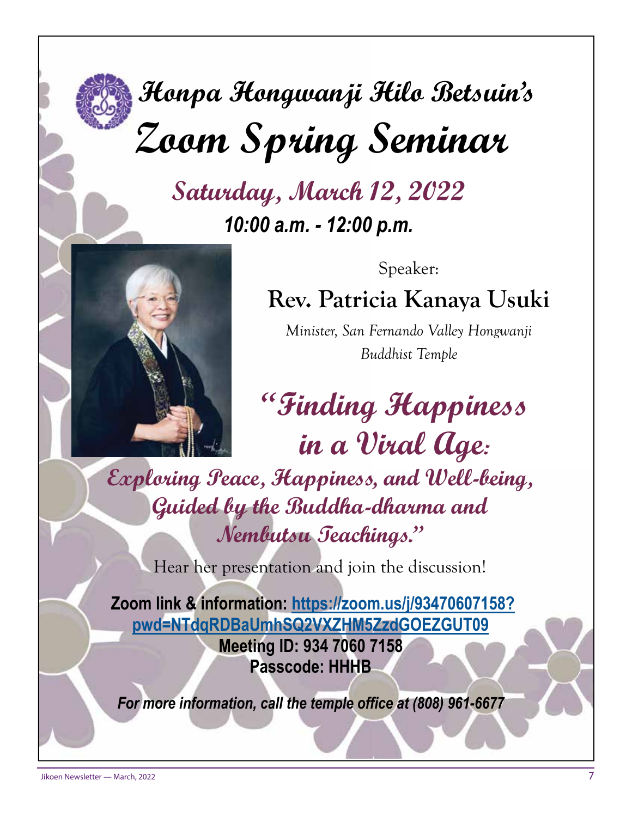# **Honpa Hongwanji Hilo Betsuin's Zoom Spring Seminar**

**Saturday, March 12, 2022**  *10:00 a.m. - 12:00 p.m.*



Speaker:

**Rev. Patricia Kanaya Usuki**

*Minister, San Fernando Valley Hongwanji Buddhist Temple*

**"Finding Happiness in a Viral Age:** 

**Exploring Peace, Happiness, and Well-being, Guided by the Buddha-dharma and Nembutsu Teachings."** 

Hear her presentation and join the discussion!

**Zoom link & information: https://zoom.us/j/93470607158? pwd=NTdqRDBaUmhSQ2VXZHM5ZzdGOEZGUT09 Meeting ID: 934 7060 7158 Passcode: HHHB**

*For more information, call the temple office at (808) 961-6677*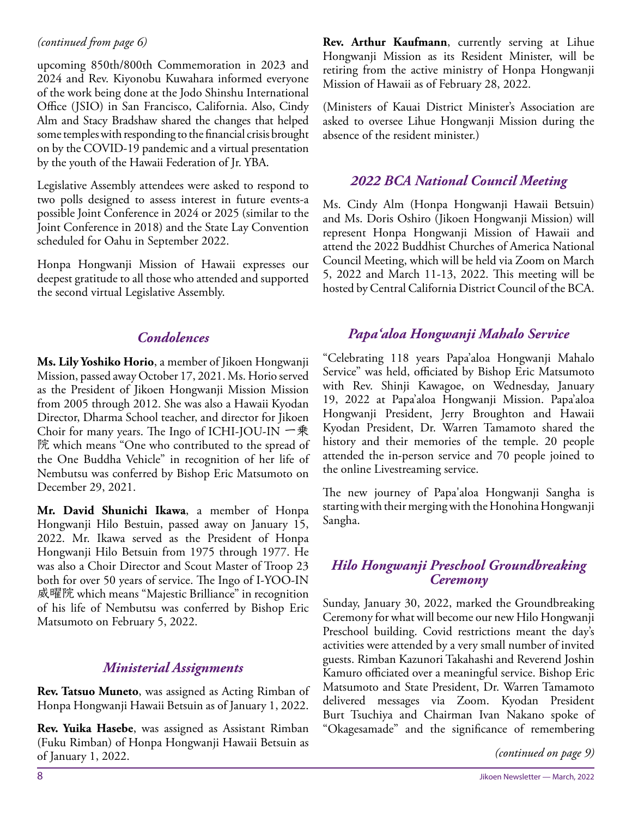# *(continued from page 6)*

upcoming 850th/800th Commemoration in 2023 and 2024 and Rev. Kiyonobu Kuwahara informed everyone of the work being done at the Jodo Shinshu International Office (JSIO) in San Francisco, California. Also, Cindy Alm and Stacy Bradshaw shared the changes that helped some temples with responding to the financial crisis brought on by the COVID-19 pandemic and a virtual presentation by the youth of the Hawaii Federation of Jr. YBA.

Legislative Assembly attendees were asked to respond to two polls designed to assess interest in future events-a possible Joint Conference in 2024 or 2025 (similar to the Joint Conference in 2018) and the State Lay Convention scheduled for Oahu in September 2022.

Honpa Hongwanji Mission of Hawaii expresses our deepest gratitude to all those who attended and supported the second virtual Legislative Assembly.

# *Condolences*

**Ms. Lily Yoshiko Horio**, a member of Jikoen Hongwanji Mission, passed away October 17, 2021. Ms. Horio served as the President of Jikoen Hongwanji Mission Mission from 2005 through 2012. She was also a Hawaii Kyodan Director, Dharma School teacher, and director for Jikoen Choir for many years. The Ingo of ICHI-JOU-IN 一乗 院 which means "One who contributed to the spread of the One Buddha Vehicle" in recognition of her life of Nembutsu was conferred by Bishop Eric Matsumoto on December 29, 2021.

**Mr. David Shunichi Ikawa**, a member of Honpa Hongwanji Hilo Bestuin, passed away on January 15, 2022. Mr. Ikawa served as the President of Honpa Hongwanji Hilo Betsuin from 1975 through 1977. He was also a Choir Director and Scout Master of Troop 23 both for over 50 years of service. The Ingo of I-YOO-IN 威曜院 which means "Majestic Brilliance" in recognition of his life of Nembutsu was conferred by Bishop Eric Matsumoto on February 5, 2022.

# *Ministerial Assignments*

**Rev. Tatsuo Muneto**, was assigned as Acting Rimban of Honpa Hongwanji Hawaii Betsuin as of January 1, 2022.

**Rev. Yuika Hasebe**, was assigned as Assistant Rimban (Fuku Rimban) of Honpa Hongwanji Hawaii Betsuin as of January 1, 2022.

**Rev. Arthur Kaufmann**, currently serving at Lihue Hongwanji Mission as its Resident Minister, will be retiring from the active ministry of Honpa Hongwanji Mission of Hawaii as of February 28, 2022.

(Ministers of Kauai District Minister's Association are asked to oversee Lihue Hongwanji Mission during the absence of the resident minister.)

# *2022 BCA National Council Meeting*

Ms. Cindy Alm (Honpa Hongwanji Hawaii Betsuin) and Ms. Doris Oshiro (Jikoen Hongwanji Mission) will represent Honpa Hongwanji Mission of Hawaii and attend the 2022 Buddhist Churches of America National Council Meeting, which will be held via Zoom on March 5, 2022 and March 11-13, 2022. This meeting will be hosted by Central California District Council of the BCA.

# *Papa'aloa Hongwanji Mahalo Service*

"Celebrating 118 years Papa'aloa Hongwanji Mahalo Service" was held, officiated by Bishop Eric Matsumoto with Rev. Shinji Kawagoe, on Wednesday, January 19, 2022 at Papa'aloa Hongwanji Mission. Papa'aloa Hongwanji President, Jerry Broughton and Hawaii Kyodan President, Dr. Warren Tamamoto shared the history and their memories of the temple. 20 people attended the in-person service and 70 people joined to the online Livestreaming service.

The new journey of Papa'aloa Hongwanji Sangha is starting with their merging with the Honohina Hongwanji Sangha.

# *Hilo Hongwanji Preschool Groundbreaking Ceremony*

Sunday, January 30, 2022, marked the Groundbreaking Ceremony for what will become our new Hilo Hongwanji Preschool building. Covid restrictions meant the day's activities were attended by a very small number of invited guests. Rimban Kazunori Takahashi and Reverend Joshin Kamuro officiated over a meaningful service. Bishop Eric Matsumoto and State President, Dr. Warren Tamamoto delivered messages via Zoom. Kyodan President Burt Tsuchiya and Chairman Ivan Nakano spoke of "Okagesamade" and the significance of remembering

*(continued on page 9)*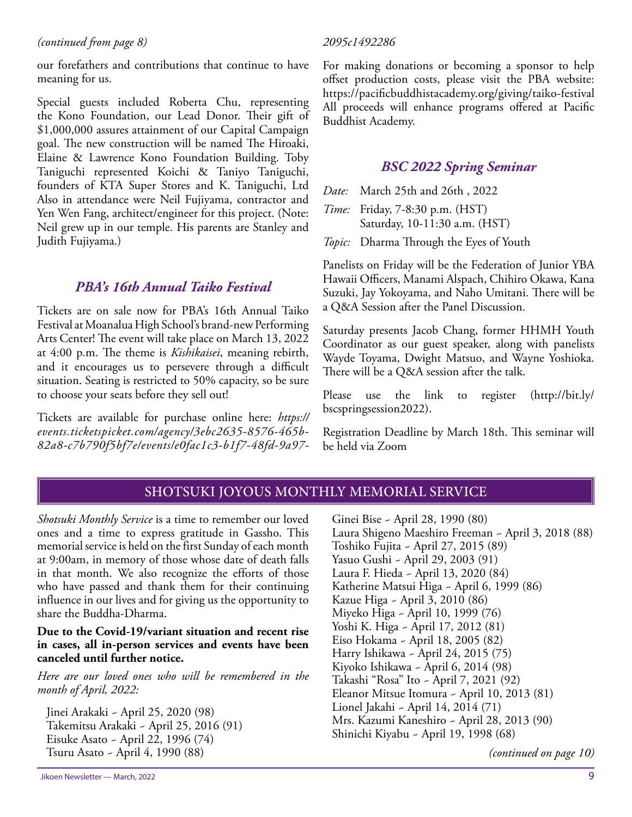### *(continued from page 8)*

our forefathers and contributions that continue to have meaning for us.

Special guests included Roberta Chu, representing the Kono Foundation, our Lead Donor. Their gift of \$1,000,000 assures attainment of our Capital Campaign goal. The new construction will be named The Hiroaki, Elaine & Lawrence Kono Foundation Building. Toby Taniguchi represented Koichi & Taniyo Taniguchi, founders of KTA Super Stores and K. Taniguchi, Ltd Also in attendance were Neil Fujiyama, contractor and Yen Wen Fang, architect/engineer for this project. (Note: Neil grew up in our temple. His parents are Stanley and Judith Fujiyama.)

# *PBA's 16th Annual Taiko Festival*

Tickets are on sale now for PBA's 16th Annual Taiko Festival at Moanalua High School's brand-new Performing Arts Center! The event will take place on March 13, 2022 at 4:00 p.m. The theme is *Kishikaisei*, meaning rebirth, and it encourages us to persevere through a difficult situation. Seating is restricted to 50% capacity, so be sure to choose your seats before they sell out!

Tickets are available for purchase online here: *https:// events.ticketspicket.com/agency/3ebc2635-8576-465b-82a8-c7b790f5bf7e/events/e0fac1c3-b1f7-48fd-9a97-*

### *2095c1492286*

For making donations or becoming a sponsor to help offset production costs, please visit the PBA website: https://pacificbuddhistacademy.org/giving/taiko-festival All proceeds will enhance programs offered at Pacific Buddhist Academy.

# *BSC 2022 Spring Seminar*

*Date:* March 25th and 26th , 2022

*Time:* Friday, 7-8:30 p.m. (HST) Saturday, 10-11:30 a.m. (HST)

*Topic:* Dharma Through the Eyes of Youth

Panelists on Friday will be the Federation of Junior YBA Hawaii Officers, Manami Alspach, Chihiro Okawa, Kana Suzuki, Jay Yokoyama, and Naho Umitani. There will be a Q&A Session after the Panel Discussion.

Saturday presents Jacob Chang, former HHMH Youth Coordinator as our guest speaker, along with panelists Wayde Toyama, Dwight Matsuo, and Wayne Yoshioka. There will be a Q&A session after the talk.

Please use the link to register (http://bit.ly/ bscspringsession2022).

Registration Deadline by March 18th. This seminar will be held via Zoom

# SHOTSUKI JOYOUS MONTHLY MEMORIAL SERVICE

*Shotsuki Monthly Service* is a time to remember our loved ones and a time to express gratitude in Gassho. This memorial service is held on the first Sunday of each month at 9:00am, in memory of those whose date of death falls in that month. We also recognize the efforts of those who have passed and thank them for their continuing influence in our lives and for giving us the opportunity to share the Buddha-Dharma.

### **Due to the Covid-19/variant situation and recent rise in cases, all in-person services and events have been canceled until further notice.**

*Here are our loved ones who will be remembered in the month of April, 2022:*

Jinei Arakaki ~ April 25, 2020 (98) Takemitsu Arakaki ~ April 25, 2016 (91) Eisuke Asato ~ April 22, 1996 (74) Tsuru Asato ~ April 4, 1990 (88)

Ginei Bise ~ April 28, 1990 (80) Laura Shigeno Maeshiro Freeman ~ April 3, 2018 (88) Toshiko Fujita ~ April 27, 2015 (89) Yasuo Gushi ~ April 29, 2003 (91) Laura F. Hieda ~ April 13, 2020 (84) Katherine Matsui Higa ~ April 6, 1999 (86) Kazue Higa ~ April 3, 2010 (86) Miyeko Higa ~ April 10, 1999 (76) Yoshi K. Higa ~ April 17, 2012 (81) Eiso Hokama ~ April 18, 2005 (82) Harry Ishikawa ~ April 24, 2015 (75) Kiyoko Ishikawa ~ April 6, 2014 (98) Takashi "Rosa" Ito ~ April 7, 2021 (92) Eleanor Mitsue Itomura ~ April 10, 2013 (81) Lionel Jakahi ~ April 14, 2014 (71) Mrs. Kazumi Kaneshiro ~ April 28, 2013 (90) Shinichi Kiyabu ~ April 19, 1998 (68)

*(continued on page 10)*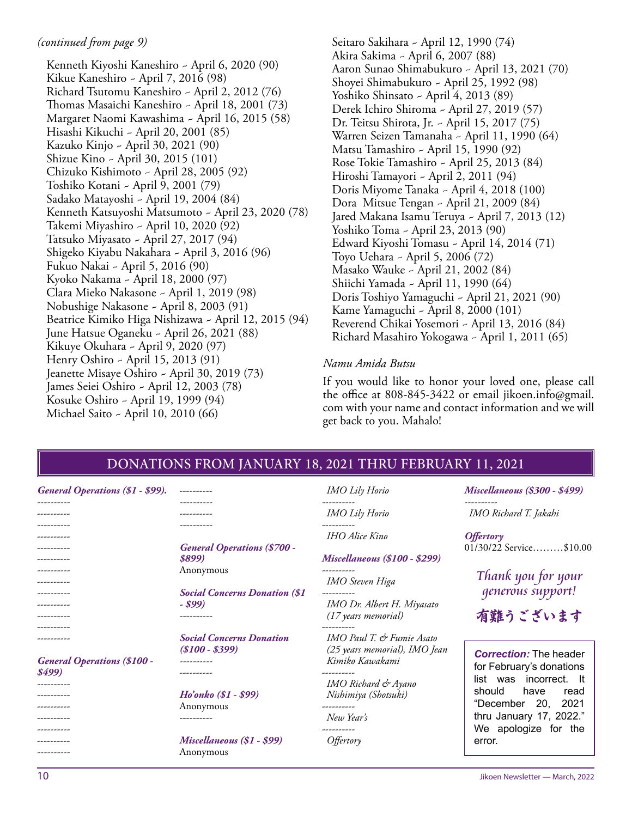### *(continued from page 9)*

Kenneth Kiyoshi Kaneshiro ~ April 6, 2020 (90) Kikue Kaneshiro ~ April 7, 2016 (98) Richard Tsutomu Kaneshiro ~ April 2, 2012 (76) Thomas Masaichi Kaneshiro ~ April 18, 2001 (73) Margaret Naomi Kawashima ~ April 16, 2015 (58) Hisashi Kikuchi ~ April 20, 2001 (85) Kazuko Kinjo ~ April 30, 2021 (90) Shizue Kino ~ April 30, 2015 (101) Chizuko Kishimoto ~ April 28, 2005 (92) Toshiko Kotani ~ April 9, 2001 (79) Sadako Matayoshi ~ April 19, 2004 (84) Kenneth Katsuyoshi Matsumoto ~ April 23, 2020 (78) Takemi Miyashiro ~ April 10, 2020 (92) Tatsuko Miyasato ~ April 27, 2017 (94) Shigeko Kiyabu Nakahara ~ April 3, 2016 (96) Fukuo Nakai ~ April 5, 2016 (90) Kyoko Nakama ~ April 18, 2000 (97) Clara Mieko Nakasone ~ April 1, 2019 (98) Nobushige Nakasone ~ April 8, 2003 (91) Beatrice Kimiko Higa Nishizawa ~ April 12, 2015 (94) June Hatsue Oganeku ~ April 26, 2021 (88) Kikuye Okuhara ~ April 9, 2020 (97) Henry Oshiro ~ April 15, 2013 (91) Jeanette Misaye Oshiro ~ April 30, 2019 (73) James Seiei Oshiro ~ April 12, 2003 (78) Kosuke Oshiro ~ April 19, 1999 (94) Michael Saito ~ April 10, 2010 (66)

Seitaro Sakihara ~ April 12, 1990 (74) Akira Sakima ~ April 6, 2007 (88) Aaron Sunao Shimabukuro ~ April 13, 2021 (70) Shoyei Shimabukuro ~ April 25, 1992 (98) Yoshiko Shinsato ~ April 4, 2013 (89) Derek Ichiro Shiroma ~ April 27, 2019 (57) Dr. Teitsu Shirota, Jr. ~ April 15, 2017 (75) Warren Seizen Tamanaha ~ April 11, 1990 (64) Matsu Tamashiro ~ April 15, 1990 (92) Rose Tokie Tamashiro ~ April 25, 2013 (84) Hiroshi Tamayori ~ April 2, 2011 (94) Doris Miyome Tanaka ~ April 4, 2018 (100) Dora Mitsue Tengan ~ April 21, 2009 (84) Jared Makana Isamu Teruya ~ April 7, 2013 (12) Yoshiko Toma ~ April 23, 2013 (90) Edward Kiyoshi Tomasu ~ April 14, 2014 (71) Toyo Uehara ~ April 5, 2006 (72) Masako Wauke ~ April 21, 2002 (84) Shiichi Yamada ~ April 11, 1990 (64) Doris Toshiyo Yamaguchi ~ April 21, 2021 (90) Kame Yamaguchi ~ April 8, 2000 (101) Reverend Chikai Yosemori ~ April 13, 2016 (84) Richard Masahiro Yokogawa ~ April 1, 2011 (65)

### *Namu Amida Butsu*

*IMO Lily Horio*

If you would like to honor your loved one, please call the office at 808-845-3422 or email jikoen.info@gmail. com with your name and contact information and we will get back to you. Mahalo!

## DONATIONS FROM JANUARY 18, 2021 THRU FEBRUARY 11, 2021

| General Operations (\$1 - \$99).                 | -----------                                      | <b>IMO</b> Lily Horio                            | <b>Miscellaneous (\$300 - \$499)</b>                          |
|--------------------------------------------------|--------------------------------------------------|--------------------------------------------------|---------------------------------------------------------------|
| ----------                                       | ----------                                       | ----------<br>IMO Lily Horio                     | ----------<br>IMO Richard T. Jakahi                           |
| ----------                                       | ----------                                       | ----------<br><b>IHO</b> Alice Kino              | <i><b>Offertory</b></i>                                       |
| ---------                                        | <b>General Operations (\$700 -</b><br>\$899)     | <b>Miscellaneous (\$100 - \$299)</b>             | 01/30/22 Service\$10.00                                       |
| ----------<br>---------                          | Anonymous                                        | ----------<br>IMO Steven Higa                    | Thank you for your                                            |
| ----------<br>----------                         | <b>Social Concerns Donation (\$1)</b><br>- \$99) | ----------<br>IMO Dr. Albert H. Miyasato         | <i>generous support!</i>                                      |
| ----------                                       | ----------<br><b>Social Concerns Donation</b>    | (17 years memorial)<br>IMO Paul T. & Fumie Asato | 有難うございます                                                      |
| ----------<br><b>General Operations (\$100 -</b> | $(S100 - S399)$<br>----------                    | (25 years memorial), IMO Jean<br>Kimiko Kawakami | <b>Correction: The header</b>                                 |
| \$499)<br>----------                             |                                                  | ----------<br>IMO Richard & Ayano                | for February's donations<br>incorrect.<br>list<br>was<br>- It |
|                                                  | Ho'onko (\$1 - \$99)<br>Anonymous                | Nishimiya (Shotsuki)<br>----------               | should<br>have<br>read<br>2021<br>"December<br>20.            |
|                                                  | ----------                                       | New Year's<br>----------                         | thru January 17, 2022."<br>We apologize for the               |
| ----------<br>----------                         | Miscellaneous (\$1 - \$99)<br>Anonymous          | <i>Offertory</i>                                 | error.                                                        |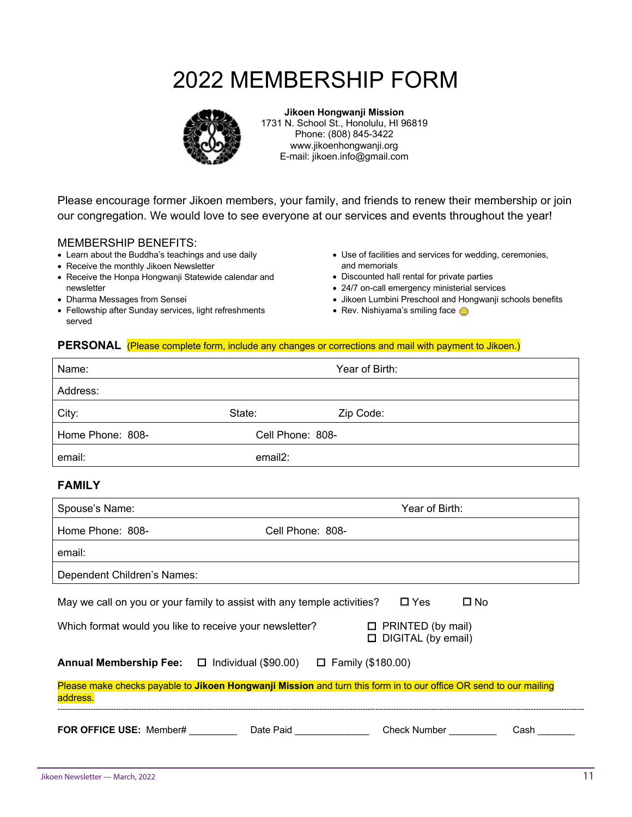# 2022 MEMBERSHIP FORM



**Jikoen Hongwanji Mission** 1731 N. School St., Honolulu, HI 96819 Phone: (808) 845-3422 www.jikoenhongwanji.org E-mail: jikoen.info@gmail.com

Please encourage former Jikoen members, your family, and friends to renew their membership or join our congregation. We would love to see everyone at our services and events throughout the year!

#### MEMBERSHIP BENEFITS:

- Learn about the Buddha's teachings and use daily
- Receive the monthly Jikoen Newsletter
- Receive the Honpa Hongwanji Statewide calendar and newsletter
- Dharma Messages from Sensei
- Fellowship after Sunday services, light refreshments served
- Use of facilities and services for wedding, ceremonies, and memorials
- Discounted hall rental for private parties
- 24/7 on-call emergency ministerial services
- Jikoen Lumbini Preschool and Hongwanji schools benefits
- Rev. Nishiyama's smiling face

### **PERSONAL** (Please complete form, include any changes or corrections and mail with payment to Jikoen.)

| Name:                                                                                                                         |                  | Year of Birth:         |      |  |
|-------------------------------------------------------------------------------------------------------------------------------|------------------|------------------------|------|--|
| Address:                                                                                                                      |                  |                        |      |  |
| City:                                                                                                                         | State:           | Zip Code:              |      |  |
| Home Phone: 808-                                                                                                              | Cell Phone: 808- |                        |      |  |
| email:                                                                                                                        | email2:          |                        |      |  |
| <b>FAMILY</b>                                                                                                                 |                  |                        |      |  |
| Spouse's Name:                                                                                                                |                  | Year of Birth:         |      |  |
| Home Phone: 808-                                                                                                              | Cell Phone: 808- |                        |      |  |
| email:                                                                                                                        |                  |                        |      |  |
| Dependent Children's Names:                                                                                                   |                  |                        |      |  |
| May we call on you or your family to assist with any temple activities?<br>$\square$ Yes<br>$\square$ No                      |                  |                        |      |  |
| $\Box$ PRINTED (by mail)<br>Which format would you like to receive your newsletter?<br>DIGITAL (by email)                     |                  |                        |      |  |
| Annual Membership Fee: □ Individual (\$90.00) □ Family (\$180.00)                                                             |                  |                        |      |  |
| Please make checks payable to Jikoen Hongwanji Mission and turn this form in to our office OR send to our mailing<br>address. |                  |                        |      |  |
| FOR OFFICE USE: Member# ____________ Date Paid ______________                                                                 |                  | Check Number _________ | Cash |  |